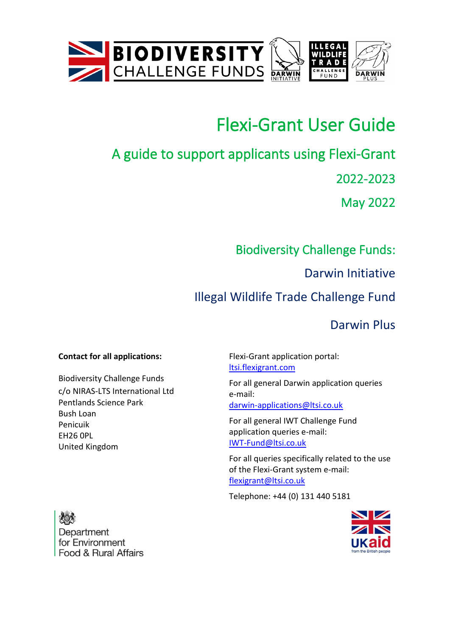



# Flexi-Grant User Guide

# A guide to support applicants using Flexi-Grant

2022-2023

May 2022

## Biodiversity Challenge Funds:

Darwin Initiative

# Illegal Wildlife Trade Challenge Fund

Darwin Plus

### **Contact for all applications:**

Biodiversity Challenge Funds c/o NIRAS-LTS International Ltd Pentlands Science Park Bush Loan Penicuik EH26 0PL United Kingdom

Flexi-Grant application portal: [ltsi.flexigrant.com](https://ltsi.flexigrant.com/)

For all general Darwin application queries e-mail: [darwin-applications@ltsi.co.uk](mailto:darwin-applications@ltsi.co.uk)

For all general IWT Challenge Fund application queries e-mail: [IWT-Fund@ltsi.co.uk](mailto:IWT-Fund@ltsi.co.uk)

For all queries specifically related to the use of the Flexi-Grant system e-mail: [flexigrant@ltsi.co.uk](mailto:flexigrant@ltsi.co.uk)

Telephone: +44 (0) 131 440 5181



Department for Environment Food & Rural Affairs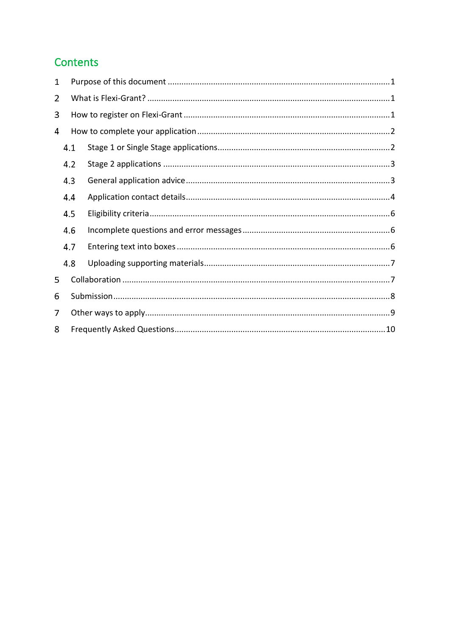### Contents

| 1 |     |  |  |  |  |
|---|-----|--|--|--|--|
| 2 |     |  |  |  |  |
| 3 |     |  |  |  |  |
| 4 |     |  |  |  |  |
|   | 4.1 |  |  |  |  |
|   | 4.2 |  |  |  |  |
|   | 4.3 |  |  |  |  |
|   | 4.4 |  |  |  |  |
|   | 4.5 |  |  |  |  |
|   | 4.6 |  |  |  |  |
|   | 4.7 |  |  |  |  |
|   | 4.8 |  |  |  |  |
| 5 |     |  |  |  |  |
| 6 |     |  |  |  |  |
| 7 |     |  |  |  |  |
| 8 |     |  |  |  |  |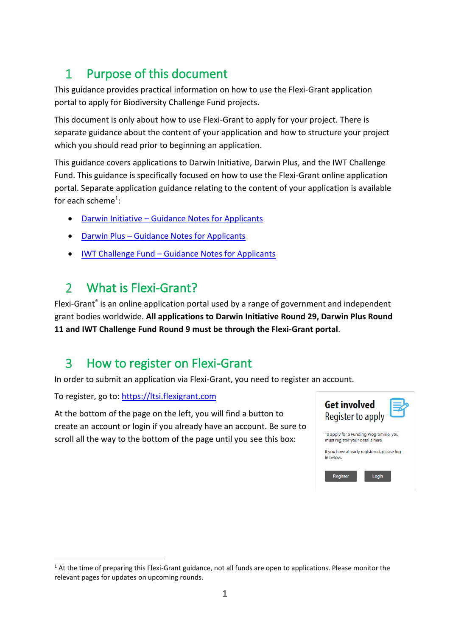#### <span id="page-2-0"></span>Purpose of this document  $\mathbf{1}$

This guidance provides practical information on how to use the Flexi-Grant application portal to apply for Biodiversity Challenge Fund projects.

This document is only about how to use Flexi-Grant to apply for your project. There is separate guidance about the content of your application and how to structure your project which you should read prior to beginning an application.

This guidance covers applications to Darwin Initiative, Darwin Plus, and the IWT Challenge Fund. This guidance is specifically focused on how to use the Flexi-Grant online application portal. Separate application guidance relating to the content of your application is available for each scheme<sup>1</sup>:

- Darwin Initiative [Guidance Notes for Applicants](https://www.darwininitiative.org.uk/apply/)
- Darwin Plus [Guidance Notes for Applicants](https://dplus.darwininitiative.org.uk/apply/)
- IWT Challenge Fund [Guidance Notes for Applicants](https://iwt.challengefund.org.uk/apply/)

#### <span id="page-2-1"></span>What is Flexi-Grant?  $\overline{2}$

Flexi-Grant® is an online application portal used by a range of government and independent grant bodies worldwide. **All applications to Darwin Initiative Round 29, Darwin Plus Round 11 and IWT Challenge Fund Round 9 must be through the Flexi-Grant portal**.

#### <span id="page-2-2"></span> $\overline{3}$ How to register on Flexi-Grant

In order to submit an application via Flexi-Grant, you need to register an account.

To register, go to: [https://ltsi.flexigrant.com](https://ltsi.flexigrant.com/)

At the bottom of the page on the left, you will find a button to create an account or login if you already have an account. Be sure to scroll all the way to the bottom of the page until you see this box:



 $1$  At the time of preparing this Flexi-Grant guidance, not all funds are open to applications. Please monitor the relevant pages for updates on upcoming rounds.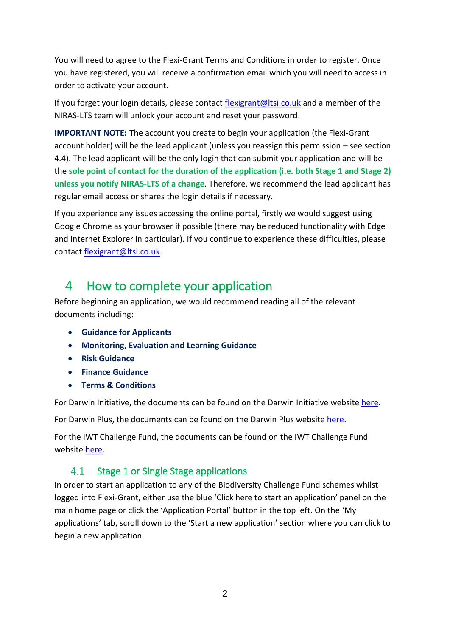You will need to agree to the Flexi-Grant Terms and Conditions in order to register. Once you have registered, you will receive a confirmation email which you will need to access in order to activate your account.

If you forget your login details, please contact [flexigrant@ltsi.co.uk](mailto:flexigrant@ltsi.co.uk) and a member of the NIRAS-LTS team will unlock your account and reset your password.

**IMPORTANT NOTE:** The account you create to begin your application (the Flexi-Grant account holder) will be the lead applicant (unless you reassign this permission – see section [4.4\)](#page-5-0). The lead applicant will be the only login that can submit your application and will be the **sole point of contact for the duration of the application (i.e. both Stage 1 and Stage 2) unless you notify NIRAS-LTS of a change**. Therefore, we recommend the lead applicant has regular email access or shares the login details if necessary.

If you experience any issues accessing the online portal, firstly we would suggest using Google Chrome as your browser if possible (there may be reduced functionality with Edge and Internet Explorer in particular). If you continue to experience these difficulties, please contact [flexigrant@ltsi.co.uk.](mailto:flexigrant@ltsi.co.uk)

#### <span id="page-3-0"></span>How to complete your application  $\overline{4}$

Before beginning an application, we would recommend reading all of the relevant documents including:

- **Guidance for Applicants**
- **Monitoring, Evaluation and Learning Guidance**
- **Risk Guidance**
- **Finance Guidance**
- **Terms & Conditions**

For Darwin Initiative, the documents can be found on the Darwin Initiative website [here.](https://www.darwininitiative.org.uk/apply/)

For Darwin Plus, the documents can be found on the Darwin Plus website [here.](https://dplus.darwininitiative.org.uk/apply/)

For the IWT Challenge Fund, the documents can be found on the IWT Challenge Fund website [here.](https://iwt.challengefund.org.uk/apply/)

#### <span id="page-3-1"></span> $4.1$ Stage 1 or Single Stage applications

In order to start an application to any of the Biodiversity Challenge Fund schemes whilst logged into Flexi-Grant, either use the blue 'Click here to start an application' panel on the main home page or click the 'Application Portal' button in the top left. On the 'My applications' tab, scroll down to the 'Start a new application' section where you can click to begin a new application.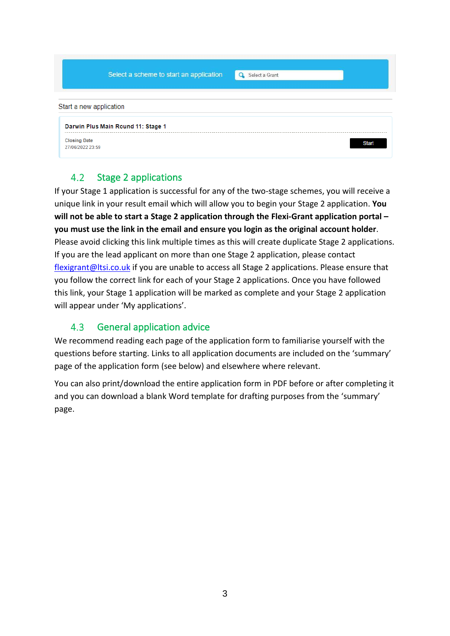|                                         | Select a scheme to start an application | Select a Grant<br>$\Omega$ |              |
|-----------------------------------------|-----------------------------------------|----------------------------|--------------|
| Start a new application                 |                                         |                            |              |
|                                         | Darwin Plus Main Round 11: Stage 1      |                            |              |
| <b>Closing Date</b><br>27/06/2022 23:59 |                                         |                            | <b>Start</b> |

#### <span id="page-4-0"></span> $4.2$ Stage 2 applications

If your Stage 1 application is successful for any of the two-stage schemes, you will receive a unique link in your result email which will allow you to begin your Stage 2 application. **You will not be able to start a Stage 2 application through the Flexi-Grant application portal – you must use the link in the email and ensure you login as the original account holder**. Please avoid clicking this link multiple times as this will create duplicate Stage 2 applications. If you are the lead applicant on more than one Stage 2 application, please contact [flexigrant@ltsi.co.uk](mailto:flexigrant@ltsi.co.uk) if you are unable to access all Stage 2 applications. Please ensure that you follow the correct link for each of your Stage 2 applications. Once you have followed this link, your Stage 1 application will be marked as complete and your Stage 2 application will appear under 'My applications'.

#### $4.3$ General application advice

<span id="page-4-1"></span>We recommend reading each page of the application form to familiarise yourself with the questions before starting. Links to all application documents are included on the 'summary' page of the application form (see below) and elsewhere where relevant.

You can also print/download the entire application form in PDF before or after completing it and you can download a blank Word template for drafting purposes from the 'summary' page.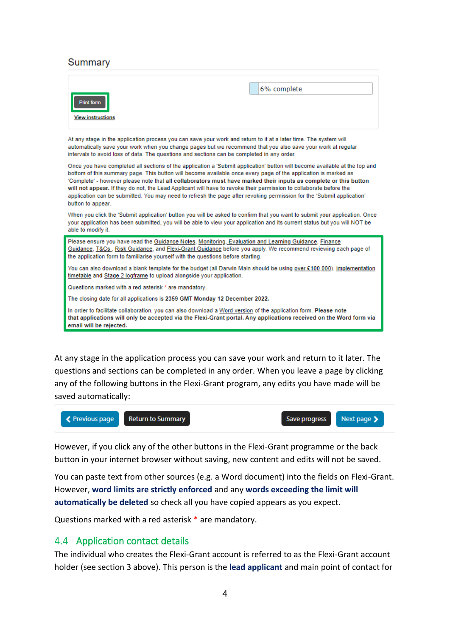#### Summary

email will be rejected.

| <b>Print form</b><br><b>View instructions</b>                                                                                                                                                                                                                                                                                                                                                                                                                                                                                                                                                                                        | 6% complete |  |  |  |
|--------------------------------------------------------------------------------------------------------------------------------------------------------------------------------------------------------------------------------------------------------------------------------------------------------------------------------------------------------------------------------------------------------------------------------------------------------------------------------------------------------------------------------------------------------------------------------------------------------------------------------------|-------------|--|--|--|
| At any stage in the application process you can save your work and return to it at a later time. The system will<br>automatically save your work when you change pages but we recommend that you also save your work at regular<br>intervals to avoid loss of data. The questions and sections can be completed in any order.                                                                                                                                                                                                                                                                                                        |             |  |  |  |
| Once you have completed all sections of the application a 'Submit application' button will become available at the top and<br>bottom of this summary page. This button will become available once every page of the application is marked as<br>'Complete' - however please note that all collaborators must have marked their inputs as complete or this button<br>will not appear. If they do not, the Lead Applicant will have to revoke their permission to collaborate before the<br>application can be submitted. You may need to refresh the page after revoking permission for the 'Submit application'<br>button to appear. |             |  |  |  |
| When you click the 'Submit application' button you will be asked to confirm that you want to submit your application. Once<br>your application has been submitted, you will be able to view your application and its current status but you will NOT be<br>able to modify it.                                                                                                                                                                                                                                                                                                                                                        |             |  |  |  |
| Please ensure you have read the Guidance Notes, Monitoring, Evaluation and Learning Guidance, Finance<br>Guidance, T&Cs., Risk Guidance, and Flexi-Grant Guidance before you apply. We recommend reviewing each page of<br>the application form to familiarise yourself with the questions before starting.                                                                                                                                                                                                                                                                                                                          |             |  |  |  |
| You can also download a blank template for the budget (all Darwin Main should be using over £100,000), implementation<br>timetable and Stage 2 logframe to upload alongside your application.                                                                                                                                                                                                                                                                                                                                                                                                                                        |             |  |  |  |
| Questions marked with a red asterisk * are mandatory.                                                                                                                                                                                                                                                                                                                                                                                                                                                                                                                                                                                |             |  |  |  |
| The closing date for all applications is 2359 GMT Monday 12 December 2022.                                                                                                                                                                                                                                                                                                                                                                                                                                                                                                                                                           |             |  |  |  |
| In order to facilitate collaboration, you can also download a Word version of the application form. Please note<br>that applications will only be accepted via the Flexi-Grant portal. Any applications received on the Word form via                                                                                                                                                                                                                                                                                                                                                                                                |             |  |  |  |

At any stage in the application process you can save your work and return to it later. The questions and sections can be completed in any order. When you leave a page by clicking any of the following buttons in the Flexi-Grant program, any edits you have made will be saved automatically:



However, if you click any of the other buttons in the Flexi-Grant programme or the back button in your internet browser without saving, new content and edits will not be saved.

You can paste text from other sources (e.g. a Word document) into the fields on Flexi-Grant. However, **word limits are strictly enforced** and any **words exceeding the limit will automatically be deleted** so check all you have copied appears as you expect.

Questions marked with a red asterisk \* are mandatory.

### <span id="page-5-0"></span>4.4 Application contact details

The individual who creates the Flexi-Grant account is referred to as the Flexi-Grant account holder (see section [3](#page-2-2) above). This person is the **lead applicant** and main point of contact for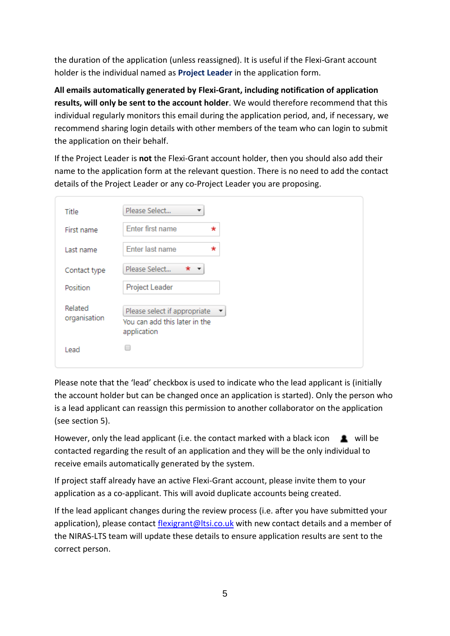the duration of the application (unless reassigned). It is useful if the Flexi-Grant account holder is the individual named as **Project Leader** in the application form.

**All emails automatically generated by Flexi-Grant, including notification of application results, will only be sent to the account holder**. We would therefore recommend that this individual regularly monitors this email during the application period, and, if necessary, we recommend sharing login details with other members of the team who can login to submit the application on their behalf.

If the Project Leader is **not** the Flexi-Grant account holder, then you should also add their name to the application form at the relevant question. There is no need to add the contact details of the Project Leader or any co-Project Leader you are proposing.

| Title                   | Please Select                                                                     |
|-------------------------|-----------------------------------------------------------------------------------|
| First name              | Enter first name<br>*                                                             |
| Last name               | Enter last name<br>*                                                              |
| Contact type            | Please Select<br>*                                                                |
| Position                | Project Leader                                                                    |
| Related<br>organisation | Please select if appropriate<br>▼<br>You can add this later in the<br>application |
| Lead                    |                                                                                   |

Please note that the 'lead' checkbox is used to indicate who the lead applicant is (initially the account holder but can be changed once an application is started). Only the person who is a lead applicant can reassign this permission to another collaborator on the application (see section [5\)](#page-8-1).

However, only the lead applicant (i.e. the contact marked with a black icon  $\Box$  will be contacted regarding the result of an application and they will be the only individual to receive emails automatically generated by the system.

If project staff already have an active Flexi-Grant account, please invite them to your application as a co-applicant. This will avoid duplicate accounts being created.

If the lead applicant changes during the review process (i.e. after you have submitted your application), please contact [flexigrant@ltsi.co.uk](mailto:flexigrant@ltsi.co.uk) with new contact details and a member of the NIRAS-LTS team will update these details to ensure application results are sent to the correct person.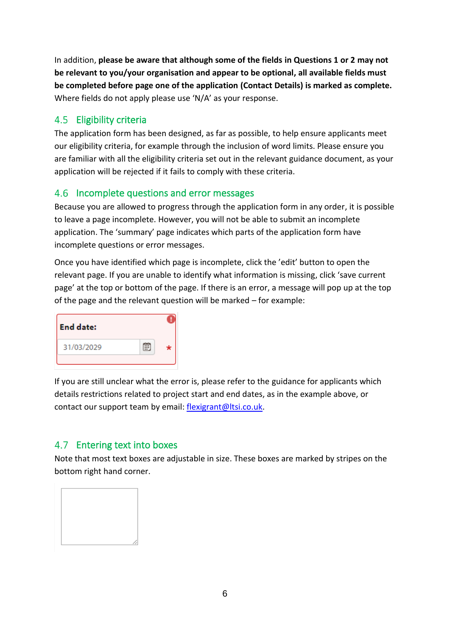In addition, **please be aware that although some of the fields in Questions 1 or 2 may not be relevant to you/your organisation and appear to be optional, all available fields must be completed before page one of the application (Contact Details) is marked as complete.**  Where fields do not apply please use 'N/A' as your response.

### <span id="page-7-0"></span>4.5 Eligibility criteria

The application form has been designed, as far as possible, to help ensure applicants meet our eligibility criteria, for example through the inclusion of word limits. Please ensure you are familiar with all the eligibility criteria set out in the relevant guidance document, as your application will be rejected if it fails to comply with these criteria.

### <span id="page-7-1"></span>4.6 Incomplete questions and error messages

Because you are allowed to progress through the application form in any order, it is possible to leave a page incomplete. However, you will not be able to submit an incomplete application. The 'summary' page indicates which parts of the application form have incomplete questions or error messages.

Once you have identified which page is incomplete, click the 'edit' button to open the relevant page. If you are unable to identify what information is missing, click 'save current page' at the top or bottom of the page. If there is an error, a message will pop up at the top of the page and the relevant question will be marked – for example:

| <b>End date:</b> |   |  |
|------------------|---|--|
| 31/03/2029       | m |  |

If you are still unclear what the error is, please refer to the guidance for applicants which details restrictions related to project start and end dates, as in the example above, or contact our support team by email: [flexigrant@ltsi.co.uk.](mailto:flexigrant@ltsi.co.uk)

### <span id="page-7-2"></span>4.7 Entering text into boxes

Note that most text boxes are adjustable in size. These boxes are marked by stripes on the bottom right hand corner.

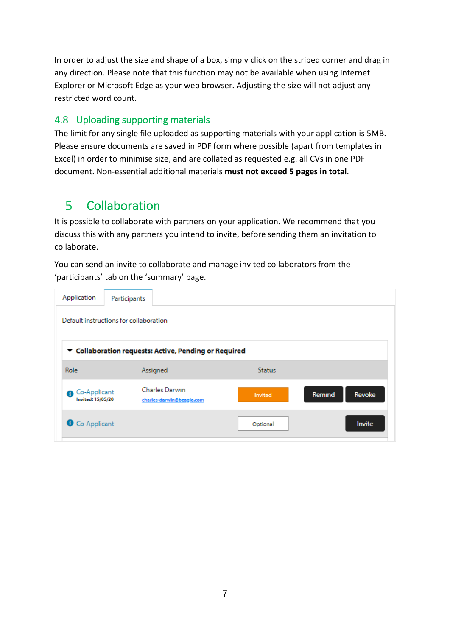In order to adjust the size and shape of a box, simply click on the striped corner and drag in any direction. Please note that this function may not be available when using Internet Explorer or Microsoft Edge as your web browser. Adjusting the size will not adjust any restricted word count.

### <span id="page-8-0"></span>4.8 Uploading supporting materials

The limit for any single file uploaded as supporting materials with your application is 5MB. Please ensure documents are saved in PDF form where possible (apart from templates in Excel) in order to minimise size, and are collated as requested e.g. all CVs in one PDF document. Non-essential additional materials **must not exceed 5 pages in total**.

#### <span id="page-8-1"></span> $\overline{5}$ Collaboration

It is possible to collaborate with partners on your application. We recommend that you discuss this with any partners you intend to invite, before sending them an invitation to collaborate.

You can send an invite to collaborate and manage invited collaborators from the 'participants' tab on the 'summary' page.

| Application                                           | Participants          |                           |               |        |        |  |
|-------------------------------------------------------|-----------------------|---------------------------|---------------|--------|--------|--|
| Default instructions for collaboration                |                       |                           |               |        |        |  |
| ▼ Collaboration requests: Active, Pending or Required |                       |                           |               |        |        |  |
| <b>Role</b>                                           | Assigned              |                           | <b>Status</b> |        |        |  |
| Co-Applicant<br>$\bullet$<br><b>Invited: 15/05/20</b> | <b>Charles Darwin</b> | charles-darwin@beagle.com | Invited       | Remind | Revoke |  |
| Co-Applicant                                          |                       |                           | Optional      |        | Invite |  |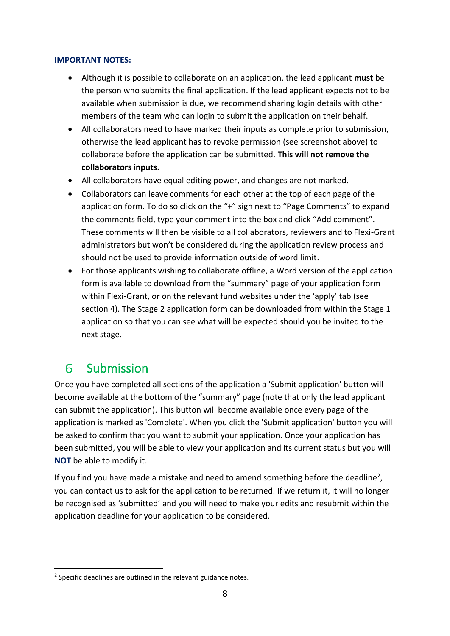#### **IMPORTANT NOTES:**

- Although it is possible to collaborate on an application, the lead applicant **must** be the person who submits the final application. If the lead applicant expects not to be available when submission is due, we recommend sharing login details with other members of the team who can login to submit the application on their behalf.
- All collaborators need to have marked their inputs as complete prior to submission, otherwise the lead applicant has to revoke permission (see screenshot above) to collaborate before the application can be submitted. **This will not remove the collaborators inputs.**
- All collaborators have equal editing power, and changes are not marked.
- Collaborators can leave comments for each other at the top of each page of the application form. To do so click on the "+" sign next to "Page Comments" to expand the comments field, type your comment into the box and click "Add comment". These comments will then be visible to all collaborators, reviewers and to Flexi-Grant administrators but won't be considered during the application review process and should not be used to provide information outside of word limit.
- For those applicants wishing to collaborate offline, a Word version of the application form is available to download from the "summary" page of your application form within Flexi-Grant, or on the relevant fund websites under the 'apply' tab (see section [4\)](#page-3-0). The Stage 2 application form can be downloaded from within the Stage 1 application so that you can see what will be expected should you be invited to the next stage.

#### <span id="page-9-0"></span>6. Submission

Once you have completed all sections of the application a 'Submit application' button will become available at the bottom of the "summary" page (note that only the lead applicant can submit the application). This button will become available once every page of the application is marked as 'Complete'. When you click the 'Submit application' button you will be asked to confirm that you want to submit your application. Once your application has been submitted, you will be able to view your application and its current status but you will **NOT** be able to modify it.

If you find you have made a mistake and need to amend something before the deadline<sup>2</sup>, you can contact us to ask for the application to be returned. If we return it, it will no longer be recognised as 'submitted' and you will need to make your edits and resubmit within the application deadline for your application to be considered.

<sup>&</sup>lt;sup>2</sup> Specific deadlines are outlined in the relevant guidance notes.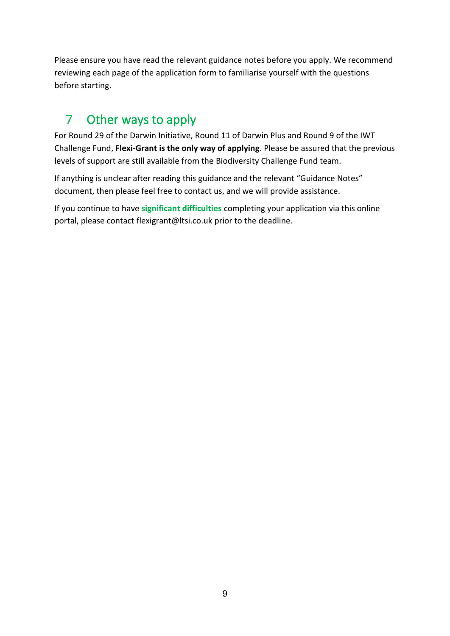Please ensure you have read the relevant guidance notes before you apply. We recommend reviewing each page of the application form to familiarise yourself with the questions before starting.

#### <span id="page-10-0"></span>Other ways to apply  $7<sup>1</sup>$

For Round 29 of the Darwin Initiative, Round 11 of Darwin Plus and Round 9 of the IWT Challenge Fund, **Flexi-Grant is the only way of applying**. Please be assured that the previous levels of support are still available from the Biodiversity Challenge Fund team.

If anything is unclear after reading this guidance and the relevant "Guidance Notes" document, then please feel free to contact us, and we will provide assistance.

If you continue to have **significant difficulties** completing your application via this online portal, please contact [flexigrant@ltsi.co.uk p](mailto:flexigrant@ltsi.co.uk)rior to the deadline.